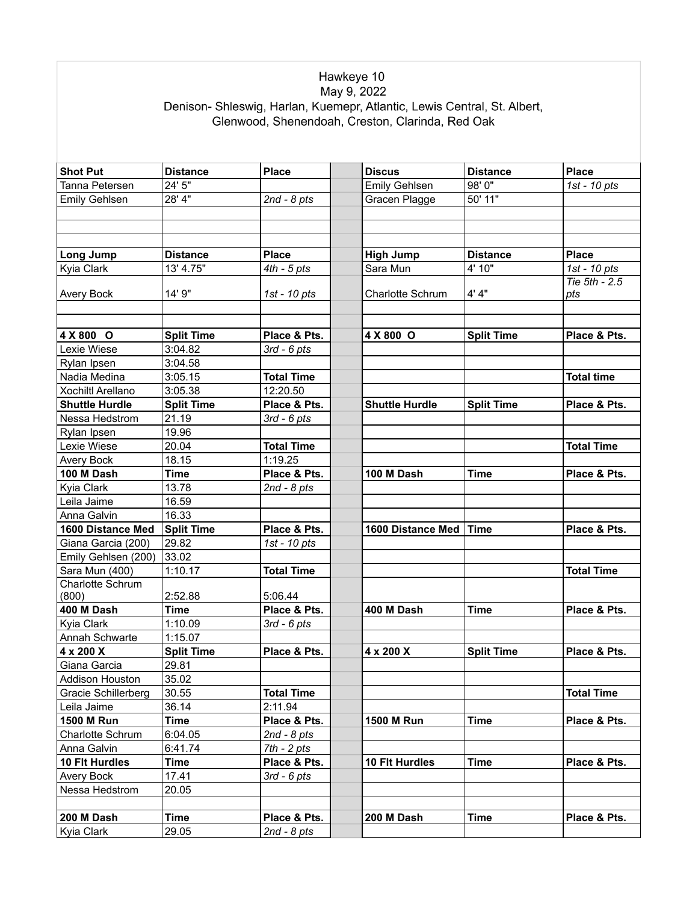## Hawkeye 10<br>May 9, 2022<br>Denison- Shleswig, Harlan, Kuemepr, Atlantic, Lewis Central, St. Albert,<br>Glenwood, Shenendoah, Creston, Clarinda, Red Oak

| <b>Shot Put</b>          | <b>Distance</b>   | Place             | <b>Discus</b>            | <b>Distance</b>   | <b>Place</b>         |
|--------------------------|-------------------|-------------------|--------------------------|-------------------|----------------------|
| Tanna Petersen           | 24' 5"            |                   | <b>Emily Gehlsen</b>     | 98'0"             | 1st - 10 pts         |
| <b>Emily Gehlsen</b>     | 28' 4"            | $2nd - 8pts$      | Gracen Plagge            | 50' 11"           |                      |
|                          |                   |                   |                          |                   |                      |
|                          |                   |                   |                          |                   |                      |
|                          |                   |                   |                          |                   |                      |
| <b>Long Jump</b>         | <b>Distance</b>   | <b>Place</b>      | <b>High Jump</b>         | <b>Distance</b>   | <b>Place</b>         |
| Kyia Clark               | 13' 4.75"         | 4th - 5 pts       | Sara Mun                 | 4' 10"            | 1st - 10 pts         |
| <b>Avery Bock</b>        | 14' 9"            | 1st - 10 pts      | Charlotte Schrum         | 4' 4"             | Tie 5th - 2.5<br>pts |
|                          |                   |                   |                          |                   |                      |
| 4 X 800 O                | <b>Split Time</b> | Place & Pts.      | 4 X 800 O                | <b>Split Time</b> | Place & Pts.         |
| Lexie Wiese              | 3:04.82           | 3rd - 6 pts       |                          |                   |                      |
| Rylan Ipsen              | 3:04.58           |                   |                          |                   |                      |
| Nadia Medina             | 3:05.15           | <b>Total Time</b> |                          |                   | <b>Total time</b>    |
| <b>Xochiltl Arellano</b> | 3:05.38           | 12:20.50          |                          |                   |                      |
| <b>Shuttle Hurdle</b>    | <b>Split Time</b> | Place & Pts.      | <b>Shuttle Hurdle</b>    | <b>Split Time</b> | Place & Pts.         |
| Nessa Hedstrom           | 21.19             | $3rd - 6pts$      |                          |                   |                      |
| Rylan Ipsen              | 19.96             |                   |                          |                   |                      |
| Lexie Wiese              | 20.04             | <b>Total Time</b> |                          |                   | <b>Total Time</b>    |
| Avery Bock               | 18.15             | 1:19.25           |                          |                   |                      |
| 100 M Dash               | <b>Time</b>       | Place & Pts.      | 100 M Dash               | <b>Time</b>       | Place & Pts.         |
| Kyia Clark               | 13.78             | $2nd - 8pts$      |                          |                   |                      |
| Leila Jaime              | 16.59             |                   |                          |                   |                      |
| Anna Galvin              | 16.33             |                   |                          |                   |                      |
| 1600 Distance Med        | <b>Split Time</b> | Place & Pts.      | 1600 Distance Med   Time |                   | Place & Pts.         |
| Giana Garcia (200)       | 29.82             | 1st - 10 pts      |                          |                   |                      |
| Emily Gehlsen (200)      | 33.02             |                   |                          |                   |                      |
| Sara Mun (400)           | 1:10.17           | <b>Total Time</b> |                          |                   | <b>Total Time</b>    |
| <b>Charlotte Schrum</b>  |                   |                   |                          |                   |                      |
| (800)                    | 2:52.88           | 5:06.44           |                          |                   |                      |
| 400 M Dash               | <b>Time</b>       | Place & Pts.      | 400 M Dash               | Time              | Place & Pts.         |
| Kyia Clark               | 1:10.09           | $3rd - 6pts$      |                          |                   |                      |
| Annah Schwarte           | 1:15.07           |                   |                          |                   |                      |
| 4 x 200 X                | <b>Split Time</b> | Place & Pts.      | 4 x 200 X                | <b>Split Time</b> | Place & Pts.         |
| Giana Garcia             | 29.81             |                   |                          |                   |                      |
| Addison Houston          | 35.02             |                   |                          |                   |                      |
| Gracie Schillerberg      | 30.55             | <b>Total Time</b> |                          |                   | <b>Total Time</b>    |
| Leila Jaime              | 36.14             | 2:11.94           |                          |                   |                      |
| <b>1500 M Run</b>        | Time              | Place & Pts.      | <b>1500 M Run</b>        | Time              | Place & Pts.         |
| Charlotte Schrum         | 6:04.05           | 2nd - 8 pts       |                          |                   |                      |
| Anna Galvin              | 6:41.74           | $7th - 2 pts$     |                          |                   |                      |
| 10 Flt Hurdles           | Time              | Place & Pts.      | 10 Flt Hurdles           | Time              | Place & Pts.         |
| Avery Bock               | 17.41             | 3rd - 6 pts       |                          |                   |                      |
| Nessa Hedstrom           | 20.05             |                   |                          |                   |                      |
|                          |                   |                   |                          |                   |                      |
| 200 M Dash               | <b>Time</b>       | Place & Pts.      | 200 M Dash               | <b>Time</b>       | Place & Pts.         |
| Kyia Clark               | 29.05             | $2nd - 8pts$      |                          |                   |                      |